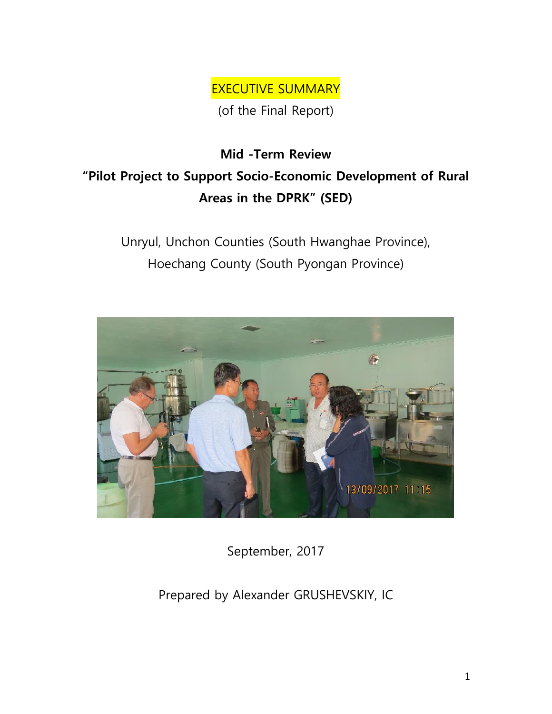EXECUTIVE SUMMARY

(of the Final Report)

## **Mid -Term Review "Pilot Project to Support Socio-Economic Development of Rural Areas in the DPRK" (SED)**

Unryul, Unchon Counties (South Hwanghae Province), Hoechang County (South Pyongan Province)



September, 2017

Prepared by Alexander GRUSHEVSKIY, IC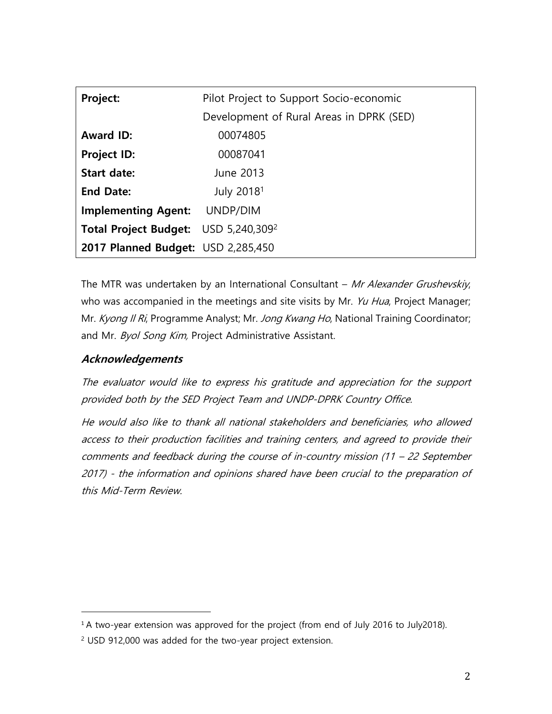| Project:                                         | Pilot Project to Support Socio-economic  |  |
|--------------------------------------------------|------------------------------------------|--|
|                                                  | Development of Rural Areas in DPRK (SED) |  |
| <b>Award ID:</b>                                 | 00074805                                 |  |
| <b>Project ID:</b>                               | 00087041                                 |  |
| <b>Start date:</b>                               | June 2013                                |  |
| <b>End Date:</b>                                 | July 2018 <sup>1</sup>                   |  |
| <b>Implementing Agent:</b>                       | UNDP/DIM                                 |  |
| Total Project Budget: USD 5,240,309 <sup>2</sup> |                                          |  |
| 2017 Planned Budget: USD 2,285,450               |                                          |  |

The MTR was undertaken by an International Consultant - Mr Alexander Grushevskiy, who was accompanied in the meetings and site visits by Mr. Yu Hua, Project Manager; Mr. Kyong Il Ri, Programme Analyst; Mr. Jong Kwang Ho, National Training Coordinator; and Mr. Byol Song Kim, Project Administrative Assistant.

## **Acknowledgements**

 $\overline{a}$ 

The evaluator would like to express his gratitude and appreciation for the support provided both by the SED Project Team and UNDP-DPRK Country Office.

He would also like to thank all national stakeholders and beneficiaries, who allowed access to their production facilities and training centers, and agreed to provide their comments and feedback during the course of in-country mission (11 – 22 September 2017) - the information and opinions shared have been crucial to the preparation of this Mid-Term Review.

<sup>&</sup>lt;sup>1</sup> A two-year extension was approved for the project (from end of July 2016 to July2018).

<sup>2</sup> USD 912,000 was added for the two-year project extension.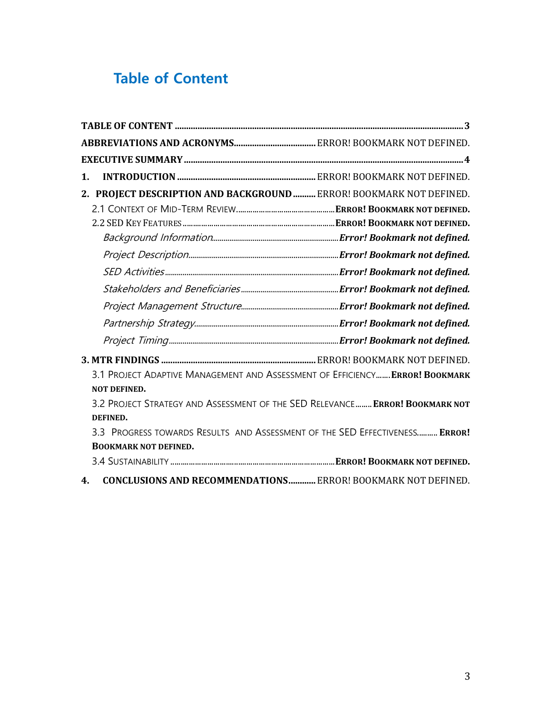## **Table of Content**

| $\mathbf 1$ .                                                                 |  |
|-------------------------------------------------------------------------------|--|
| 2. PROJECT DESCRIPTION AND BACKGROUND  ERROR! BOOKMARK NOT DEFINED.           |  |
|                                                                               |  |
|                                                                               |  |
|                                                                               |  |
|                                                                               |  |
|                                                                               |  |
|                                                                               |  |
|                                                                               |  |
|                                                                               |  |
|                                                                               |  |
|                                                                               |  |
| 3.1 PROJECT ADAPTIVE MANAGEMENT AND ASSESSMENT OF EFFICIENCY  ERROR! BOOKMARK |  |
| <b>NOT DEFINED.</b>                                                           |  |
| 3.2 PROJECT STRATEGY AND ASSESSMENT OF THE SED RELEVANCE  ERROR! BOOKMARK NOT |  |
| DEFINED.                                                                      |  |
| 3.3 PROGRESS TOWARDS RESULTS AND ASSESSMENT OF THE SED EFFECTIVENESS ERROR!   |  |
| <b>BOOKMARK NOT DEFINED.</b>                                                  |  |
|                                                                               |  |
| 4 CONCLUSIONS AND DECOMMENDATIONS EDDON DOOVMANY NOT DEFINED                  |  |

**4. CONCLUSIONS AND RECOMMENDATIONS............**ERROR! BOOKMARK NOT DEFINED.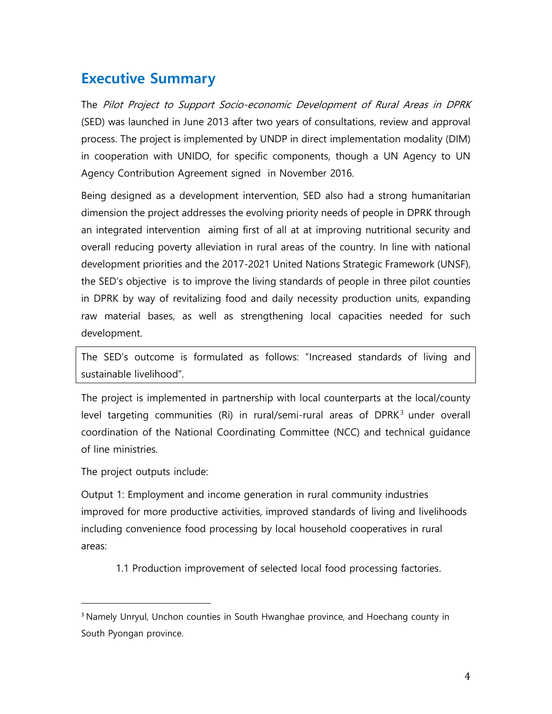## **Executive Summary**

The Pilot Project to Support Socio-economic Development of Rural Areas in DPRK (SED) was launched in June 2013 after two years of consultations, review and approval process. The project is implemented by UNDP in direct implementation modality (DIM) in cooperation with UNIDO, for specific components, though a UN Agency to UN Agency Contribution Agreement signed in November 2016.

Being designed as a development intervention, SED also had a strong humanitarian dimension the project addresses the evolving priority needs of people in DPRK through an integrated intervention aiming first of all at at improving nutritional security and overall reducing poverty alleviation in rural areas of the country. In line with national development priorities and the 2017-2021 United Nations Strategic Framework (UNSF), the SED's objective is to improve the living standards of people in three pilot counties in DPRK by way of revitalizing food and daily necessity production units, expanding raw material bases, as well as strengthening local capacities needed for such development.

The SED's outcome is formulated as follows: "Increased standards of living and sustainable livelihood".

The project is implemented in partnership with local counterparts at the local/county level targeting communities (Ri) in rural/semi-rural areas of DPRK $<sup>3</sup>$  under overall</sup> coordination of the National Coordinating Committee (NCC) and technical guidance of line ministries.

The project outputs include:

 $\overline{a}$ 

Output 1: Employment and income generation in rural community industries improved for more productive activities, improved standards of living and livelihoods including convenience food processing by local household cooperatives in rural areas:

1.1 Production improvement of selected local food processing factories.

<sup>&</sup>lt;sup>3</sup> Namely Unryul, Unchon counties in South Hwanghae province, and Hoechang county in South Pyongan province.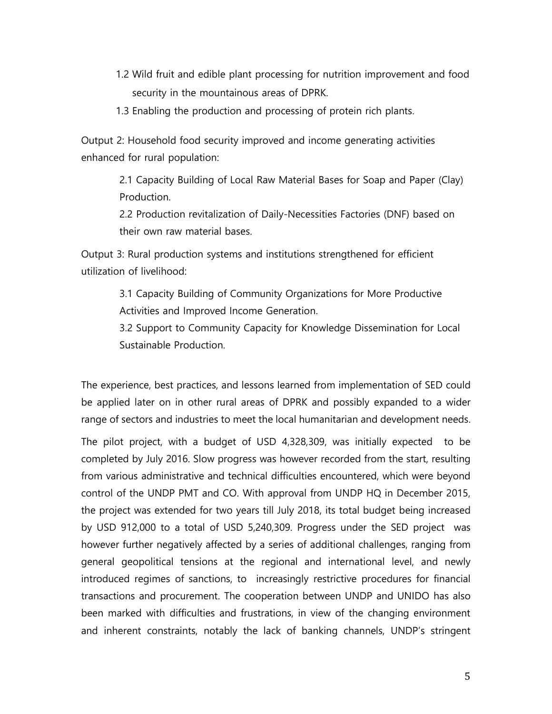- 1.2 Wild fruit and edible plant processing for nutrition improvement and food security in the mountainous areas of DPRK.
- 1.3 Enabling the production and processing of protein rich plants.

Output 2: Household food security improved and income generating activities enhanced for rural population:

> 2.1 Capacity Building of Local Raw Material Bases for Soap and Paper (Clay) Production.

2.2 Production revitalization of Daily-Necessities Factories (DNF) based on their own raw material bases.

Output 3: Rural production systems and institutions strengthened for efficient utilization of livelihood:

> 3.1 Capacity Building of Community Organizations for More Productive Activities and Improved Income Generation.

3.2 Support to Community Capacity for Knowledge Dissemination for Local Sustainable Production.

The experience, best practices, and lessons learned from implementation of SED could be applied later on in other rural areas of DPRK and possibly expanded to a wider range of sectors and industries to meet the local humanitarian and development needs.

The pilot project, with a budget of USD 4,328,309, was initially expected to be completed by July 2016. Slow progress was however recorded from the start, resulting from various administrative and technical difficulties encountered, which were beyond control of the UNDP PMT and CO. With approval from UNDP HQ in December 2015, the project was extended for two years till July 2018, its total budget being increased by USD 912,000 to a total of USD 5,240,309. Progress under the SED project was however further negatively affected by a series of additional challenges, ranging from general geopolitical tensions at the regional and international level, and newly introduced regimes of sanctions, to increasingly restrictive procedures for financial transactions and procurement. The cooperation between UNDP and UNIDO has also been marked with difficulties and frustrations, in view of the changing environment and inherent constraints, notably the lack of banking channels, UNDP's stringent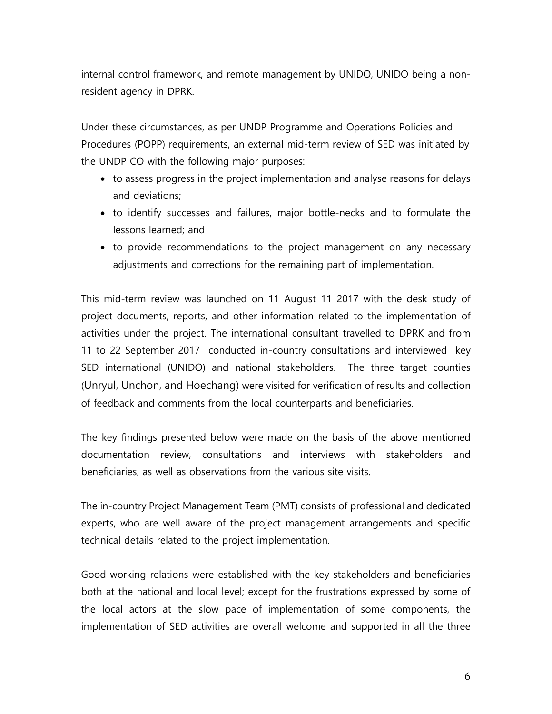internal control framework, and remote management by UNIDO, UNIDO being a nonresident agency in DPRK.

Under these circumstances, as per UNDP Programme and Operations Policies and Procedures (POPP) requirements, an external mid-term review of SED was initiated by the UNDP CO with the following major purposes:

- to assess progress in the project implementation and analyse reasons for delays and deviations;
- to identify successes and failures, major bottle-necks and to formulate the lessons learned; and
- to provide recommendations to the project management on any necessary adjustments and corrections for the remaining part of implementation.

This mid-term review was launched on 11 August 11 2017 with the desk study of project documents, reports, and other information related to the implementation of activities under the project. The international consultant travelled to DPRK and from 11 to 22 September 2017 conducted in-country consultations and interviewed key SED international (UNIDO) and national stakeholders. The three target counties (Unryul, Unchon, and Hoechang) were visited for verification of results and collection of feedback and comments from the local counterparts and beneficiaries.

The key findings presented below were made on the basis of the above mentioned documentation review, consultations and interviews with stakeholders and beneficiaries, as well as observations from the various site visits.

The in-country Project Management Team (PMT) consists of professional and dedicated experts, who are well aware of the project management arrangements and specific technical details related to the project implementation.

Good working relations were established with the key stakeholders and beneficiaries both at the national and local level; except for the frustrations expressed by some of the local actors at the slow pace of implementation of some components, the implementation of SED activities are overall welcome and supported in all the three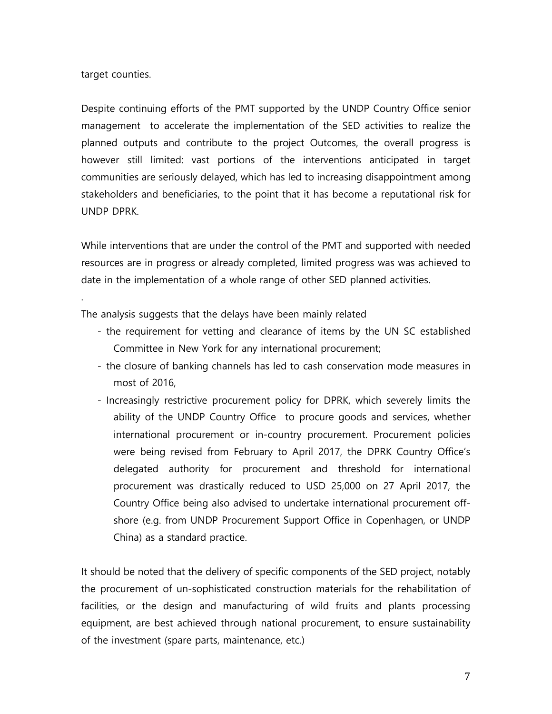target counties.

.

Despite continuing efforts of the PMT supported by the UNDP Country Office senior management to accelerate the implementation of the SED activities to realize the planned outputs and contribute to the project Outcomes, the overall progress is however still limited: vast portions of the interventions anticipated in target communities are seriously delayed, which has led to increasing disappointment among stakeholders and beneficiaries, to the point that it has become a reputational risk for UNDP DPRK.

While interventions that are under the control of the PMT and supported with needed resources are in progress or already completed, limited progress was was achieved to date in the implementation of a whole range of other SED planned activities.

The analysis suggests that the delays have been mainly related

- the requirement for vetting and clearance of items by the UN SC established Committee in New York for any international procurement;
- the closure of banking channels has led to cash conservation mode measures in most of 2016,
- Increasingly restrictive procurement policy for DPRK, which severely limits the ability of the UNDP Country Office to procure goods and services, whether international procurement or in-country procurement. Procurement policies were being revised from February to April 2017, the DPRK Country Office's delegated authority for procurement and threshold for international procurement was drastically reduced to USD 25,000 on 27 April 2017, the Country Office being also advised to undertake international procurement offshore (e.g. from UNDP Procurement Support Office in Copenhagen, or UNDP China) as a standard practice.

It should be noted that the delivery of specific components of the SED project, notably the procurement of un-sophisticated construction materials for the rehabilitation of facilities, or the design and manufacturing of wild fruits and plants processing equipment, are best achieved through national procurement, to ensure sustainability of the investment (spare parts, maintenance, etc.)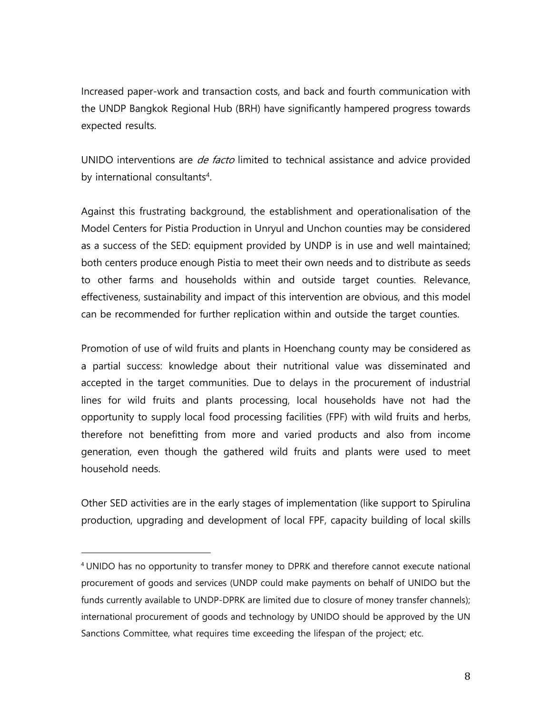Increased paper-work and transaction costs, and back and fourth communication with the UNDP Bangkok Regional Hub (BRH) have significantly hampered progress towards expected results.

UNIDO interventions are *de facto* limited to technical assistance and advice provided by international consultants<sup>4</sup>.

Against this frustrating background, the establishment and operationalisation of the Model Centers for Pistia Production in Unryul and Unchon counties may be considered as a success of the SED: equipment provided by UNDP is in use and well maintained; both centers produce enough Pistia to meet their own needs and to distribute as seeds to other farms and households within and outside target counties. Relevance, effectiveness, sustainability and impact of this intervention are obvious, and this model can be recommended for further replication within and outside the target counties.

Promotion of use of wild fruits and plants in Hoenchang county may be considered as a partial success: knowledge about their nutritional value was disseminated and accepted in the target communities. Due to delays in the procurement of industrial lines for wild fruits and plants processing, local households have not had the opportunity to supply local food processing facilities (FPF) with wild fruits and herbs, therefore not benefitting from more and varied products and also from income generation, even though the gathered wild fruits and plants were used to meet household needs.

Other SED activities are in the early stages of implementation (like support to Spirulina production, upgrading and development of local FPF, capacity building of local skills

l

<sup>4</sup> UNIDO has no opportunity to transfer money to DPRK and therefore cannot execute national procurement of goods and services (UNDP could make payments on behalf of UNIDO but the funds currently available to UNDP-DPRK are limited due to closure of money transfer channels); international procurement of goods and technology by UNIDO should be approved by the UN Sanctions Committee, what requires time exceeding the lifespan of the project; etc.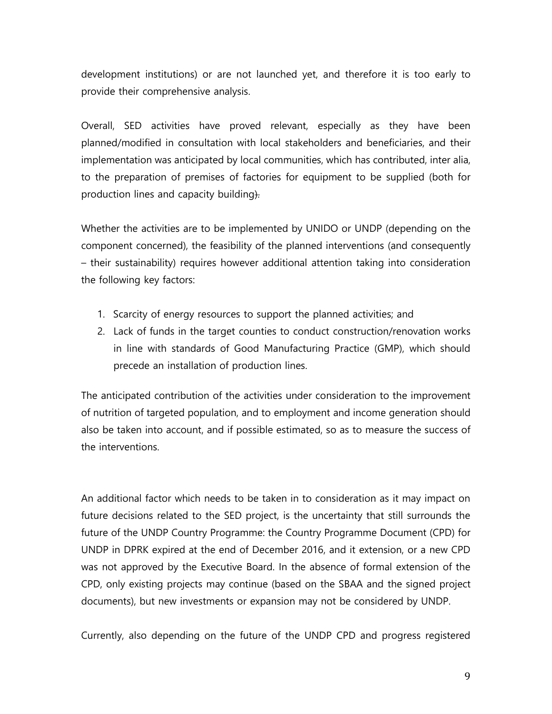development institutions) or are not launched yet, and therefore it is too early to provide their comprehensive analysis.

Overall, SED activities have proved relevant, especially as they have been planned/modified in consultation with local stakeholders and beneficiaries, and their implementation was anticipated by local communities, which has contributed, inter alia, to the preparation of premises of factories for equipment to be supplied (both for production lines and capacity building).

Whether the activities are to be implemented by UNIDO or UNDP (depending on the component concerned), the feasibility of the planned interventions (and consequently – their sustainability) requires however additional attention taking into consideration the following key factors:

- 1. Scarcity of energy resources to support the planned activities; and
- 2. Lack of funds in the target counties to conduct construction/renovation works in line with standards of Good Manufacturing Practice (GMP), which should precede an installation of production lines.

The anticipated contribution of the activities under consideration to the improvement of nutrition of targeted population, and to employment and income generation should also be taken into account, and if possible estimated, so as to measure the success of the interventions.

An additional factor which needs to be taken in to consideration as it may impact on future decisions related to the SED project, is the uncertainty that still surrounds the future of the UNDP Country Programme: the Country Programme Document (CPD) for UNDP in DPRK expired at the end of December 2016, and it extension, or a new CPD was not approved by the Executive Board. In the absence of formal extension of the CPD, only existing projects may continue (based on the SBAA and the signed project documents), but new investments or expansion may not be considered by UNDP.

Currently, also depending on the future of the UNDP CPD and progress registered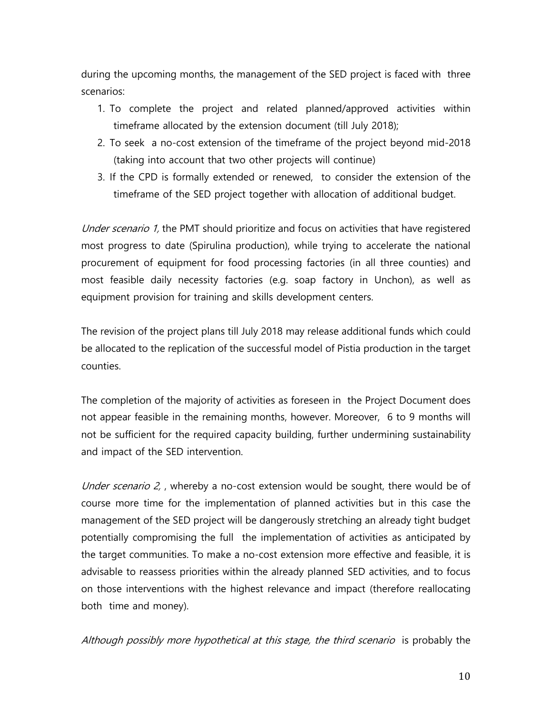during the upcoming months, the management of the SED project is faced with three scenarios:

- 1. To complete the project and related planned/approved activities within timeframe allocated by the extension document (till July 2018);
- 2. To seek a no-cost extension of the timeframe of the project beyond mid-2018 (taking into account that two other projects will continue)
- 3. If the CPD is formally extended or renewed, to consider the extension of the timeframe of the SED project together with allocation of additional budget.

Under scenario 1, the PMT should prioritize and focus on activities that have registered most progress to date (Spirulina production), while trying to accelerate the national procurement of equipment for food processing factories (in all three counties) and most feasible daily necessity factories (e.g. soap factory in Unchon), as well as equipment provision for training and skills development centers.

The revision of the project plans till July 2018 may release additional funds which could be allocated to the replication of the successful model of Pistia production in the target counties.

The completion of the majority of activities as foreseen in the Project Document does not appear feasible in the remaining months, however. Moreover, 6 to 9 months will not be sufficient for the required capacity building, further undermining sustainability and impact of the SED intervention.

Under scenario 2, , whereby a no-cost extension would be sought, there would be of course more time for the implementation of planned activities but in this case the management of the SED project will be dangerously stretching an already tight budget potentially compromising the full the implementation of activities as anticipated by the target communities. To make a no-cost extension more effective and feasible, it is advisable to reassess priorities within the already planned SED activities, and to focus on those interventions with the highest relevance and impact (therefore reallocating both time and money).

Although possibly more hypothetical at this stage, the third scenario is probably the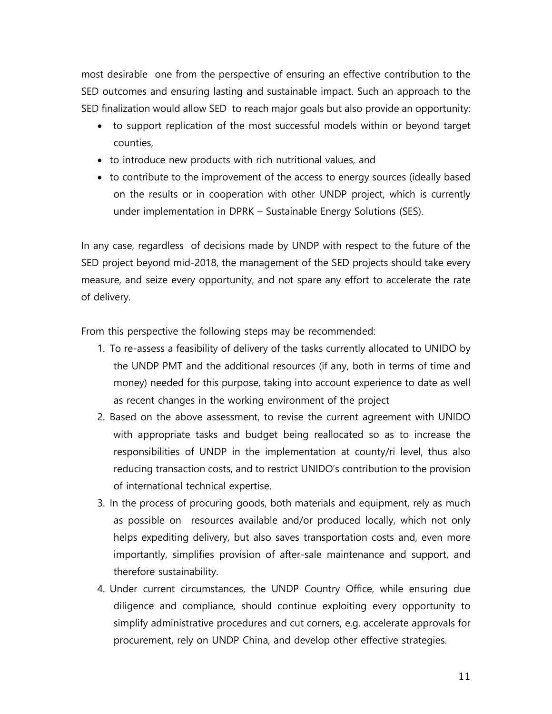most desirable one from the perspective of ensuring an effective contribution to the SED outcomes and ensuring lasting and sustainable impact. Such an approach to the SED finalization would allow SED to reach major goals but also provide an opportunity:

- to support replication of the most successful models within or beyond target counties,
- to introduce new products with rich nutritional values, and
- to contribute to the improvement of the access to energy sources (ideally based on the results or in cooperation with other UNDP project, which is currently under implementation in DPRK – Sustainable Energy Solutions (SES).

In any case, regardless of decisions made by UNDP with respect to the future of the SED project beyond mid-2018, the management of the SED projects should take every measure, and seize every opportunity, and not spare any effort to accelerate the rate of delivery.

From this perspective the following steps may be recommended:

- 1. To re-assess a feasibility of delivery of the tasks currently allocated to UNIDO by the UNDP PMT and the additional resources (if any, both in terms of time and money) needed for this purpose, taking into account experience to date as well as recent changes in the working environment of the project
- 2. Based on the above assessment, to revise the current agreement with UNIDO with appropriate tasks and budget being reallocated so as to increase the responsibilities of UNDP in the implementation at county/ri level, thus also reducing transaction costs, and to restrict UNIDO's contribution to the provision of international technical expertise.
- 3. In the process of procuring goods, both materials and equipment, rely as much as possible on resources available and/or produced locally, which not only helps expediting delivery, but also saves transportation costs and, even more importantly, simplifies provision of after-sale maintenance and support, and therefore sustainability.
- 4. Under current circumstances, the UNDP Country Office, while ensuring due diligence and compliance, should continue exploiting every opportunity to simplify administrative procedures and cut corners, e.g. accelerate approvals for procurement, rely on UNDP China, and develop other effective strategies.